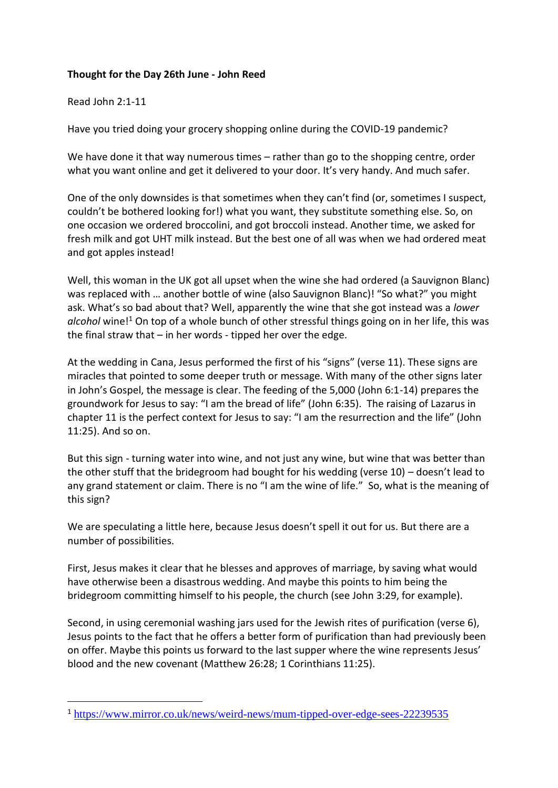## **Thought for the Day 26th June - John Reed**

## Read John 2:1-11

Have you tried doing your grocery shopping online during the COVID-19 pandemic?

We have done it that way numerous times – rather than go to the shopping centre, order what you want online and get it delivered to your door. It's very handy. And much safer.

One of the only downsides is that sometimes when they can't find (or, sometimes I suspect, couldn't be bothered looking for!) what you want, they substitute something else. So, on one occasion we ordered broccolini, and got broccoli instead. Another time, we asked for fresh milk and got UHT milk instead. But the best one of all was when we had ordered meat and got apples instead!

Well, this woman in the UK got all upset when the wine she had ordered (a Sauvignon Blanc) was replaced with … another bottle of wine (also Sauvignon Blanc)! "So what?" you might ask. What's so bad about that? Well, apparently the wine that she got instead was a *lower alcohol* wine!<sup>1</sup> On top of a whole bunch of other stressful things going on in her life, this was the final straw that  $-$  in her words - tipped her over the edge.

At the wedding in Cana, Jesus performed the first of his "signs" (verse 11). These signs are miracles that pointed to some deeper truth or message. With many of the other signs later in John's Gospel, the message is clear. The feeding of the 5,000 (John 6:1-14) prepares the groundwork for Jesus to say: "I am the bread of life" (John 6:35). The raising of Lazarus in chapter 11 is the perfect context for Jesus to say: "I am the resurrection and the life" (John 11:25). And so on.

But this sign - turning water into wine, and not just any wine, but wine that was better than the other stuff that the bridegroom had bought for his wedding (verse 10) – doesn't lead to any grand statement or claim. There is no "I am the wine of life." So, what is the meaning of this sign?

We are speculating a little here, because Jesus doesn't spell it out for us. But there are a number of possibilities.

First, Jesus makes it clear that he blesses and approves of marriage, by saving what would have otherwise been a disastrous wedding. And maybe this points to him being the bridegroom committing himself to his people, the church (see John 3:29, for example).

Second, in using ceremonial washing jars used for the Jewish rites of purification (verse 6), Jesus points to the fact that he offers a better form of purification than had previously been on offer. Maybe this points us forward to the last supper where the wine represents Jesus' blood and the new covenant (Matthew 26:28; 1 Corinthians 11:25).

<sup>1</sup> <https://www.mirror.co.uk/news/weird-news/mum-tipped-over-edge-sees-22239535>